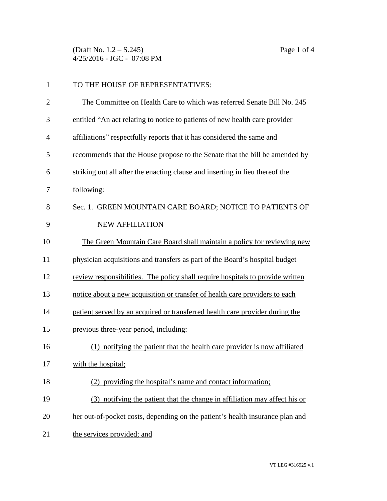(Draft No. 1.2 – S.245) Page 1 of 4 4/25/2016 - JGC - 07:08 PM

| $\mathbf{1}$   | TO THE HOUSE OF REPRESENTATIVES:                                               |  |
|----------------|--------------------------------------------------------------------------------|--|
| $\overline{2}$ | The Committee on Health Care to which was referred Senate Bill No. 245         |  |
| 3              | entitled "An act relating to notice to patients of new health care provider    |  |
| 4              | affiliations" respectfully reports that it has considered the same and         |  |
| 5              | recommends that the House propose to the Senate that the bill be amended by    |  |
| 6              | striking out all after the enacting clause and inserting in lieu thereof the   |  |
| 7              | following:                                                                     |  |
| 8              | Sec. 1. GREEN MOUNTAIN CARE BOARD; NOTICE TO PATIENTS OF                       |  |
| 9              | <b>NEW AFFILIATION</b>                                                         |  |
| 10             | The Green Mountain Care Board shall maintain a policy for reviewing new        |  |
| 11             | physician acquisitions and transfers as part of the Board's hospital budget    |  |
| 12             | review responsibilities. The policy shall require hospitals to provide written |  |
| 13             | notice about a new acquisition or transfer of health care providers to each    |  |
| 14             | patient served by an acquired or transferred health care provider during the   |  |
| 15             | previous three-year period, including:                                         |  |
| 16             | (1) notifying the patient that the health care provider is now affiliated      |  |
| 17             | with the hospital;                                                             |  |
| 18             | (2) providing the hospital's name and contact information;                     |  |
| 19             | (3) notifying the patient that the change in affiliation may affect his or     |  |
| 20             | her out-of-pocket costs, depending on the patient's health insurance plan and  |  |
| 21             | the services provided; and                                                     |  |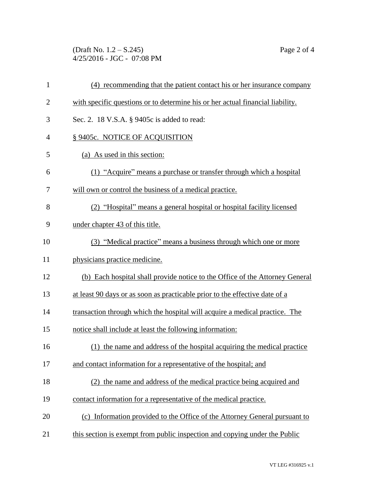(Draft No. 1.2 – S.245) Page 2 of 4 4/25/2016 - JGC - 07:08 PM

| $\mathbf{1}$   | (4) recommending that the patient contact his or her insurance company         |
|----------------|--------------------------------------------------------------------------------|
| $\overline{2}$ | with specific questions or to determine his or her actual financial liability. |
| 3              | Sec. 2. 18 V.S.A. § 9405c is added to read:                                    |
| $\overline{4}$ | § 9405c. NOTICE OF ACQUISITION                                                 |
| 5              | (a) As used in this section:                                                   |
| 6              | (1) "Acquire" means a purchase or transfer through which a hospital            |
| 7              | will own or control the business of a medical practice.                        |
| 8              | (2) "Hospital" means a general hospital or hospital facility licensed          |
| 9              | under chapter 43 of this title.                                                |
| 10             | (3) "Medical practice" means a business through which one or more              |
| 11             | physicians practice medicine.                                                  |
| 12             | (b) Each hospital shall provide notice to the Office of the Attorney General   |
| 13             | at least 90 days or as soon as practicable prior to the effective date of a    |
| 14             | transaction through which the hospital will acquire a medical practice. The    |
| 15             | notice shall include at least the following information:                       |
| 16             | (1) the name and address of the hospital acquiring the medical practice        |
| 17             | and contact information for a representative of the hospital; and              |
| 18             | (2) the name and address of the medical practice being acquired and            |
| 19             | contact information for a representative of the medical practice.              |
| 20             | (c) Information provided to the Office of the Attorney General pursuant to     |
| 21             | this section is exempt from public inspection and copying under the Public     |
|                |                                                                                |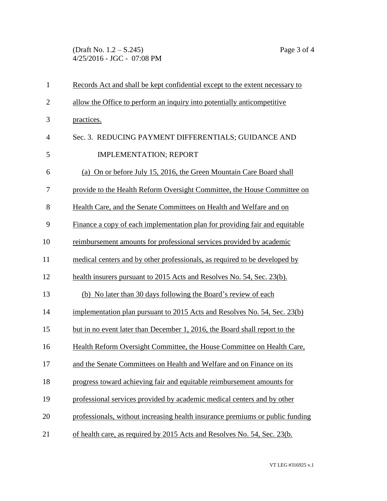(Draft No. 1.2 – S.245) Page 3 of 4 4/25/2016 - JGC - 07:08 PM

| $\mathbf{1}$   | Records Act and shall be kept confidential except to the extent necessary to  |  |  |
|----------------|-------------------------------------------------------------------------------|--|--|
| $\overline{2}$ | allow the Office to perform an inquiry into potentially anticompetitive       |  |  |
| 3              | practices.                                                                    |  |  |
| $\overline{4}$ | Sec. 3. REDUCING PAYMENT DIFFERENTIALS; GUIDANCE AND                          |  |  |
| 5              | <b>IMPLEMENTATION; REPORT</b>                                                 |  |  |
| 6              | (a) On or before July 15, 2016, the Green Mountain Care Board shall           |  |  |
| 7              | provide to the Health Reform Oversight Committee, the House Committee on      |  |  |
| 8              | Health Care, and the Senate Committees on Health and Welfare and on           |  |  |
| 9              | Finance a copy of each implementation plan for providing fair and equitable   |  |  |
| 10             | reimbursement amounts for professional services provided by academic          |  |  |
| 11             | medical centers and by other professionals, as required to be developed by    |  |  |
| 12             | health insurers pursuant to 2015 Acts and Resolves No. 54, Sec. 23(b).        |  |  |
| 13             | (b) No later than 30 days following the Board's review of each                |  |  |
| 14             | implementation plan pursuant to 2015 Acts and Resolves No. 54, Sec. 23(b)     |  |  |
| 15             | but in no event later than December 1, 2016, the Board shall report to the    |  |  |
| 16             | Health Reform Oversight Committee, the House Committee on Health Care,        |  |  |
| 17             | and the Senate Committees on Health and Welfare and on Finance on its         |  |  |
| 18             | progress toward achieving fair and equitable reimbursement amounts for        |  |  |
| 19             | professional services provided by academic medical centers and by other       |  |  |
| 20             | professionals, without increasing health insurance premiums or public funding |  |  |
| 21             | of health care, as required by 2015 Acts and Resolves No. 54, Sec. 23(b.      |  |  |